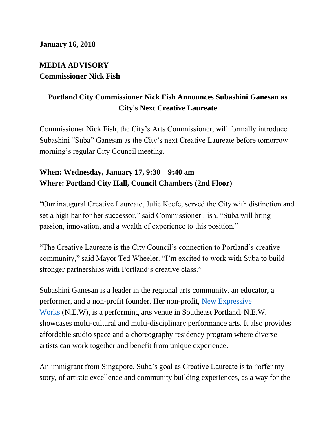## **MEDIA ADVISORY Commissioner Nick Fish**

## **Portland City Commissioner Nick Fish Announces Subashini Ganesan as City's Next Creative Laureate**

Commissioner Nick Fish, the City's Arts Commissioner, will formally introduce Subashini "Suba" Ganesan as the City's next Creative Laureate before tomorrow morning's regular City Council meeting.

## **When: Wednesday, January 17, 9:30 – 9:40 am Where: Portland City Hall, Council Chambers (2nd Floor)**

"Our inaugural Creative Laureate, Julie Keefe, served the City with distinction and set a high bar for her successor," said Commissioner Fish. "Suba will bring passion, innovation, and a wealth of experience to this position."

"The Creative Laureate is the City Council's connection to Portland's creative community," said Mayor Ted Wheeler. "I'm excited to work with Suba to build stronger partnerships with Portland's creative class."

Subashini Ganesan is a leader in the regional arts community, an educator, a performer, and a non-profit founder. Her non-profit, [New Expressive](http://studiotwozoomtopia.com/)  [Works](http://studiotwozoomtopia.com/) (N.E.W), is a performing arts venue in Southeast Portland. N.E.W. showcases multi-cultural and multi-disciplinary performance arts. It also provides affordable studio space and a choreography residency program where diverse artists can work together and benefit from unique experience.

An immigrant from Singapore, Suba's goal as Creative Laureate is to "offer my story, of artistic excellence and community building experiences, as a way for the